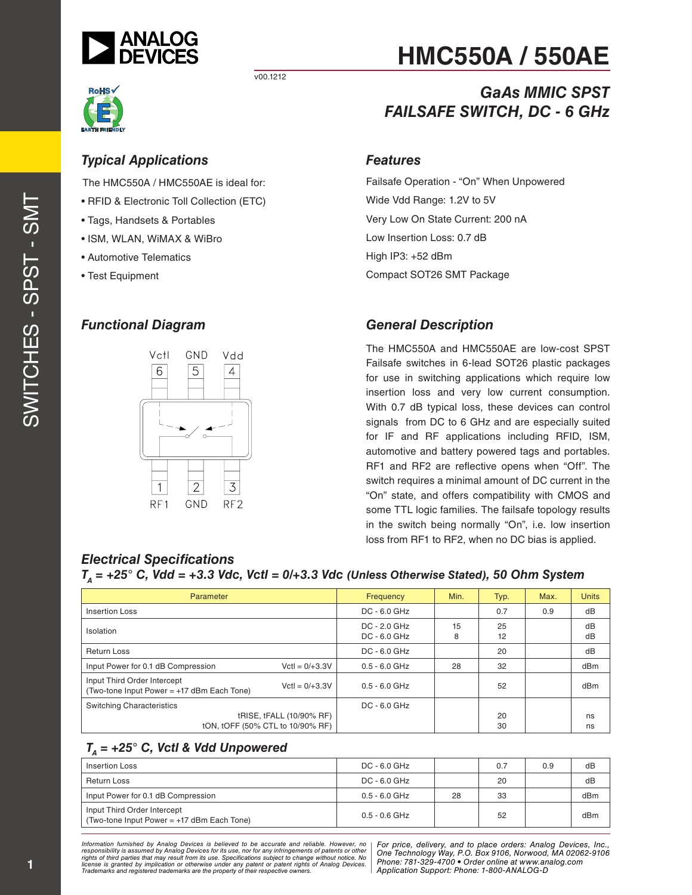

v00.1212



#### *Typical Applications*

The HMC550A / HMC550AE is ideal for:

- RFID & Electronic Toll Collection (ETC)
- Tags, Handsets & Portables
- ISM, WLAN, WiMAX & WiBro
- Automotive Telematics
- Test Equipment

#### *Functional Diagram*



# **HMC550A / 550AE**

# *GaAs MMIC SPST FAILSAFE SWITCH, DC - 6 GHz*

#### *Features*

Failsafe Operation - "On" When Unpowered Wide Vdd Range: 1.2V to 5V Very Low On State Current: 200 nA Low Insertion Loss: 0.7 dB High IP3: +52 dBm Compact SOT26 SMT Package

#### *General Description*

The HMC550A and HMC550AE are low-cost SPST Failsafe switches in 6-lead SOT26 plastic packages for use in switching applications which require low insertion loss and very low current consumption. With 0.7 dB typical loss, these devices can control signals from DC to 6 GHz and are especially suited for IF and RF applications including RFID, ISM, automotive and battery powered tags and portables. RF1 and RF2 are reflective opens when "Off". The switch requires a minimal amount of DC current in the "On" state, and offers compatibility with CMOS and some TTL logic families. The failsafe topology results in the switch being normally "On", i.e. low insertion loss from RF1 to RF2, when no DC bias is applied.

#### *Electrical Specifications*

*TA = +25° C, Vdd = +3.3 Vdc, Vctl = 0/+3.3 Vdc (Unless Otherwise Stated), 50 Ohm System* 

| Parameter                                                                                     | Frequency                        | Min.    | Typ.     | Max. | <b>Units</b> |
|-----------------------------------------------------------------------------------------------|----------------------------------|---------|----------|------|--------------|
| Insertion Loss                                                                                | $DC - 6.0$ GHz                   |         | 0.7      | 0.9  | dB           |
| Isolation                                                                                     | $DC - 2.0$ GHz<br>$DC - 6.0$ GHz | 15<br>8 | 25<br>12 |      | dB<br>dB     |
| <b>Return Loss</b>                                                                            | $DC - 6.0$ GHz                   |         | 20       |      | dB           |
| Input Power for 0.1 dB Compression<br>$Vert = 0/ + 3.3V$                                      | $0.5 - 6.0$ GHz                  | 28      | 32       |      | dBm          |
| Input Third Order Intercept<br>$Vert = 0/43.3V$<br>(Two-tone Input Power = +17 dBm Each Tone) | $0.5 - 6.0$ GHz                  |         | 52       |      | dBm          |
| <b>Switching Characteristics</b>                                                              | $DC - 6.0$ GHz                   |         |          |      |              |
| tRISE, tFALL (10/90% RF)<br>tON, tOFF (50% CTL to 10/90% RF)                                  |                                  |         | 20<br>30 |      | ns<br>ns     |

#### $T_A$  = +25° C, Vctl & Vdd Unpowered

| <b>Insertion Loss</b>                                                       | $DC - 6.0$ GHz  |    | 0.7 | 0.9 | dB  |
|-----------------------------------------------------------------------------|-----------------|----|-----|-----|-----|
| Return Loss                                                                 | DC - 6.0 GHz    |    | 20  |     | dB  |
| Input Power for 0.1 dB Compression                                          | $0.5 - 6.0$ GHz | 28 | 33  |     | dBm |
| Input Third Order Intercept<br>(Two-tone Input Power = $+17$ dBm Each Tone) | 0.5 - 0.6 GHz   |    | 52  |     | dBm |

*Formation iurnished by Analog Devices is believed to be accurate and reliable. However, no Hor price, delivery, and to place orders: Analog Devices, In<br>roonsibility is assumed by Analog Devices for its use, nor for any pressult from its use. Specifications subject to change without notice. No*<br>ation or otherwise under any patent or patent rights of Analog Devices Phone: 781-329-4700 • Order online at ww *e* the property of their respective owners. **Application Support: Phone: 1-8** *Information furnished by Analog Devices is believed to be accurate and reliable. However, no*  responsibility is assumed by Analog Devices for its use, nor for any infringements of patents or other<br>rights of third parties that may result from its use. Specifications subject to change without notice. No<br>license is gr

*For price, delivery, and to place orders: Analog Devices, Inc., One Technology Way, P.O. Box 9106, Norwood, MA 02062-9106 Phone: 781-329-4700 • Order online at www.analog.com Application Support: Phone: 1-800-ANALOG-D*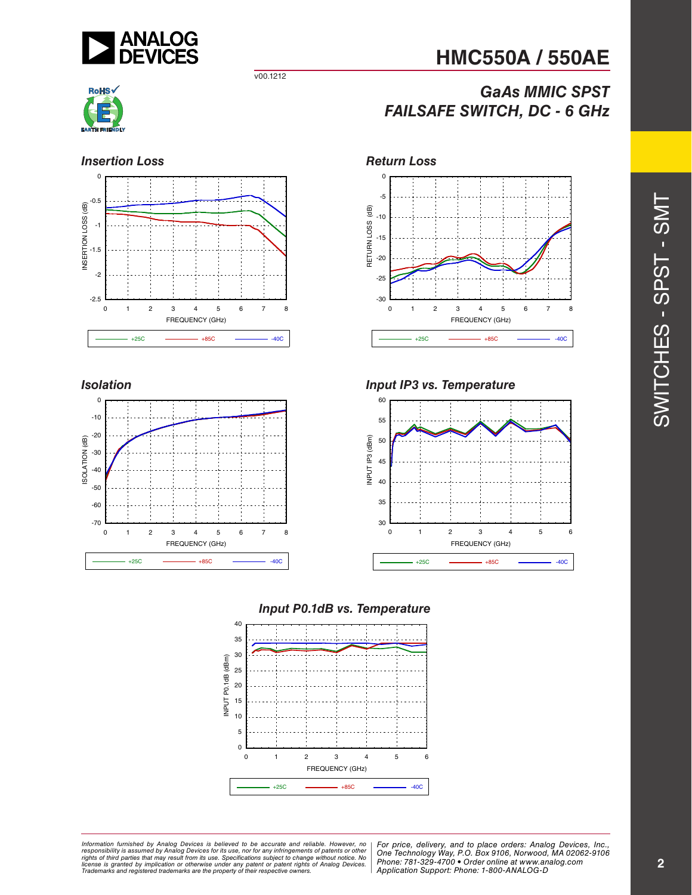

**HMC550A / 550AE**

# *GaAs MMIC SPST FAILSAFE SWITCH, DC - 6 GHz*



#### **Insertion Loss** *Return Loss*



v00.1212

#### *Isolation*





#### *Input IP3 vs. Temperature*



#### *Input P0.1dB vs. Temperature*



*Formation iurnished by Analog Devices is believed to be accurate and reliable. However, no Hor price, delivery, and to place orders: Analog Devices, In<br>roonsibility is assumed by Analog Devices for its use, nor for any pressult from its use. Specifications subject to change without notice. No*<br>ation or otherwise under any patent or patent rights of Analog Devices Phone: 781-329-4700 • Order online at ww *e* the property of their respective owners. **Application Support: Phone: 1-8** Information furnished by Analog Devices is believed to be accurate and reliable. However, no<br>responsibility is assumed by Analog Devices for its use, nor for any infringements of patents or other<br>rights of third parties th

*For price, delivery, and to place orders: Analog Devices, Inc., One Technology Way, P.O. Box 9106, Norwood, MA 02062-9106 Phone: 781-329-4700 • Order online at www.analog.com Application Support: Phone: 1-800-ANALOG-D*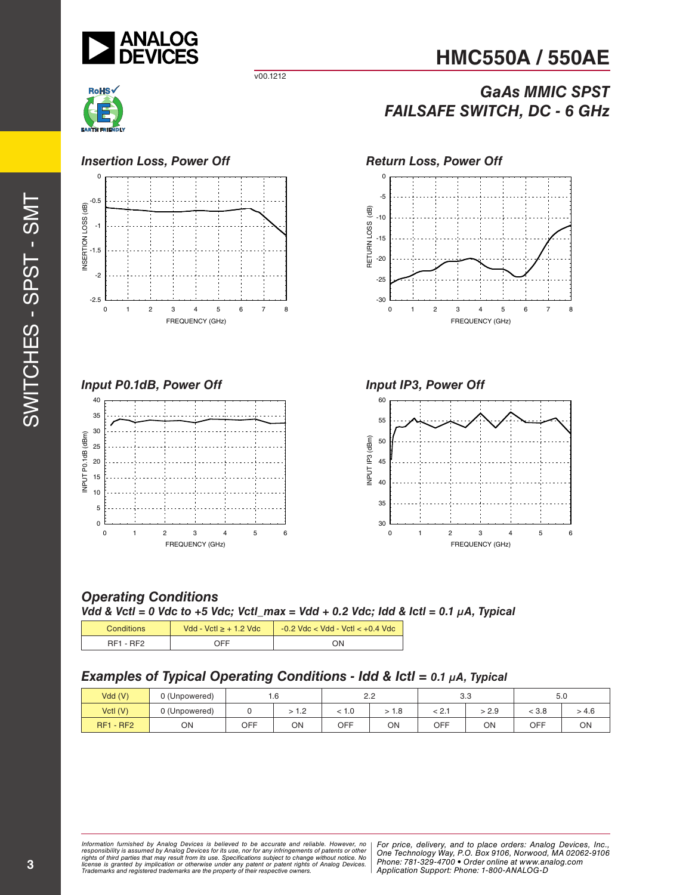

**HMC550A / 550AE**

# *GaAs MMIC SPST FAILSAFE SWITCH, DC - 6 GHz*



#### *Insertion Loss, Power Off Return Loss, Power Off*



v00.1212

#### *Input P0.1dB, Power Off*











#### *Operating Conditions*

*Vdd & Vctl = 0 Vdc to +5 Vdc; Vctl\_max = Vdd + 0.2 Vdc; Idd & Ictl = 0.1 µA, Typical*

| <b>Conditions</b> | Vdd - Vctl $\ge$ + 1.2 Vdc | $-0.2$ Vdc < Vdd - Vctl < $+0.4$ Vdc |
|-------------------|----------------------------|--------------------------------------|
| RF1 - RF2         | NFF.                       | ΟN                                   |

#### *Examples of Typical Operating Conditions - Idd & Ictl = 0.1 µA, Typical*

| Vdd(V)           | 0 (Unpowered) |     | 1. U                       |     | 2.2 | 3.3            |       |       | 5.0   |
|------------------|---------------|-----|----------------------------|-----|-----|----------------|-------|-------|-------|
| VctI (V)         | 0 (Unpowered) |     | $\sqrt{2}$<br>$\mathsf{L}$ | 1.0 | 1.0 | . 0.4<br>3 Z.I | > 2.9 | < 3.8 | > 4.6 |
| <b>RF1 - RF2</b> | ON            | OFF | ON                         | OFF | ΟN  | OFF            | ON    | OFF   | ON    |

ormation furnished by Analog Devices is believed to be accurate and reliable. However, no | For price, delivery, and to place orders: Analog Devices, Inc.,<br>popsibility is assumed by Analog Devices for its use, not for any *pressult from its use. Specifications subject to change without notice. No*<br>ation or otherwise under any patent or patent rights of Analog Devices Phone: 781-329-4700 • Order online at ww *e* the property of their respective owners. **Application Support: Phone: 1-8** *Information furnished by Analog Devices is believed to be accurate and reliable. However, no*  responsibility is assumed by Analog Devices for its use, nor for any infringements of patents or other<br>rights of third parties that may result from its use. Specifications subject to change without notice. No<br>license is gr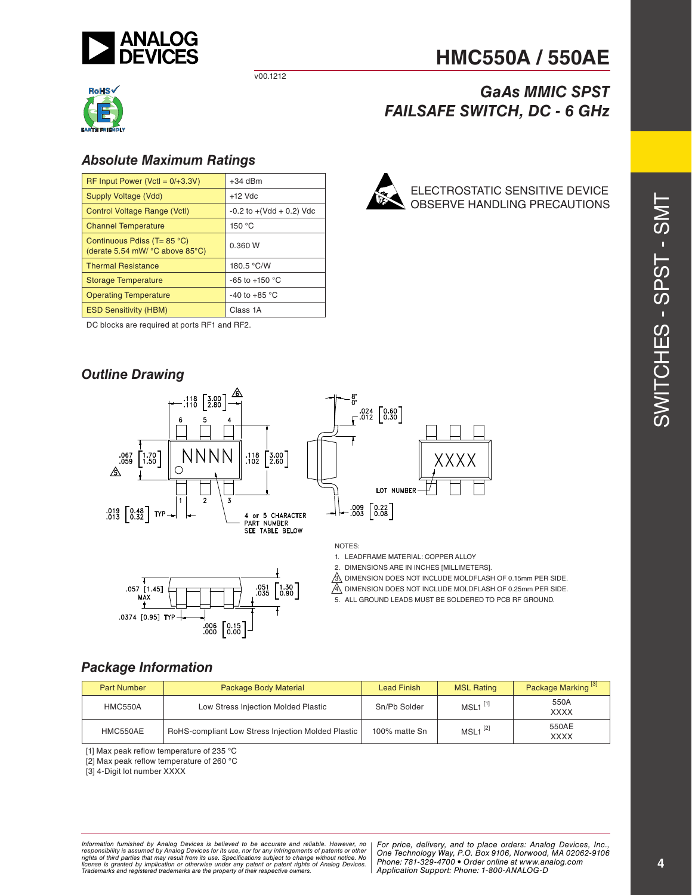

v00.1212



#### *Absolute Maximum Ratings*

| $RF$ Input Power (VctI = $0/+3.3V$ )                                                | $+34$ dBm                    |
|-------------------------------------------------------------------------------------|------------------------------|
| Supply Voltage (Vdd)                                                                | $+12$ Vdc                    |
| Control Voltage Range (Vctl)                                                        | $-0.2$ to $+(Vdd + 0.2)$ Vdc |
| <b>Channel Temperature</b>                                                          | 150 °C                       |
| Continuous Pdiss (T= 85 °C)<br>(derate 5.54 mW/ $^{\circ}$ C above 85 $^{\circ}$ C) | 0.360 W                      |
| <b>Thermal Resistance</b>                                                           | 180.5 °C/W                   |
| <b>Storage Temperature</b>                                                          | $-65$ to $+150$ °C           |
| <b>Operating Temperature</b>                                                        | -40 to +85 $\degree$ C       |
| <b>ESD Sensitivity (HBM)</b>                                                        | Class 1A                     |

DC blocks are required at ports RF1 and RF2.

#### *Outline Drawing*





(XXX LOT NUMBER  $\begin{bmatrix} .009 \\ 0.08 \end{bmatrix} \begin{bmatrix} 0.22 \\ 0.08 \end{bmatrix}$ 

 $.024 \begin{bmatrix} 0.60 \\ 0.30 \end{bmatrix}$ 

#### NOTES:

1. LEADFRAME MATERIAL: COPPER ALLOY

2. DIMENSIONS ARE IN INCHES [MILLIMETERS].

 $\hat{3}$ . DIMENSION DOES NOT INCLUDE MOLDFLASH OF 0.15mm PER SIDE.

 $\mathbb{A}$  dimension does not include moldflash of 0.25mm per side.

5. ALL GROUND LEADS MUST BE SOLDERED TO PCB RF GROUND.

#### *Package Information*

| <b>Part Number</b> | Package Body Material                              | <b>Lead Finish</b> | <b>MSL Rating</b>     | Package Marking <sup>[3]</sup> |
|--------------------|----------------------------------------------------|--------------------|-----------------------|--------------------------------|
| <b>HMC550A</b>     | Low Stress Injection Molded Plastic                | Sn/Pb Solder       | $MSL1$ <sup>[1]</sup> | 550A<br><b>XXXX</b>            |
| HMC550AE           | RoHS-compliant Low Stress Injection Molded Plastic | 100% matte Sn      | $MSL1^{[2]}$          | 550AE<br><b>XXXX</b>           |

[1] Max peak reflow temperature of 235 °C

[2] Max peak reflow temperature of 260 °C

[3] 4-Digit lot number XXXX

ormation furnished by Analog Devices is believed to be accurate and reliable. However, no | For price, delivery, and to place orders: Analog Devices, Inc.,<br>popsibility is assumed by Analog Devices for its use, not for any *e* the property of their respective owners. **Application Support: Phone: 1-8** *Information furnished by Analog Devices is believed to be accurate and reliable. However, no*  responsibility is assumed by Analog Devices for its use, nor for any infringements of patents or other<br>rights of third parties that may result from its use. Specifications subject to change without notice. No<br>license is gr

*Phone: 781-329-4700 • Order online at www.analog.com Application Support: Phone: 1-800-ANALOG-D*

# SWITCHES - SPST - SMT SWITCHES - SPST - SMT

# *GaAs MMIC SPST FAILSAFE SWITCH, DC - 6 GHz*

ELECTROSTATIC SENSITIVE DEVICE OBSERVE HANDLING PRECAUTIONS

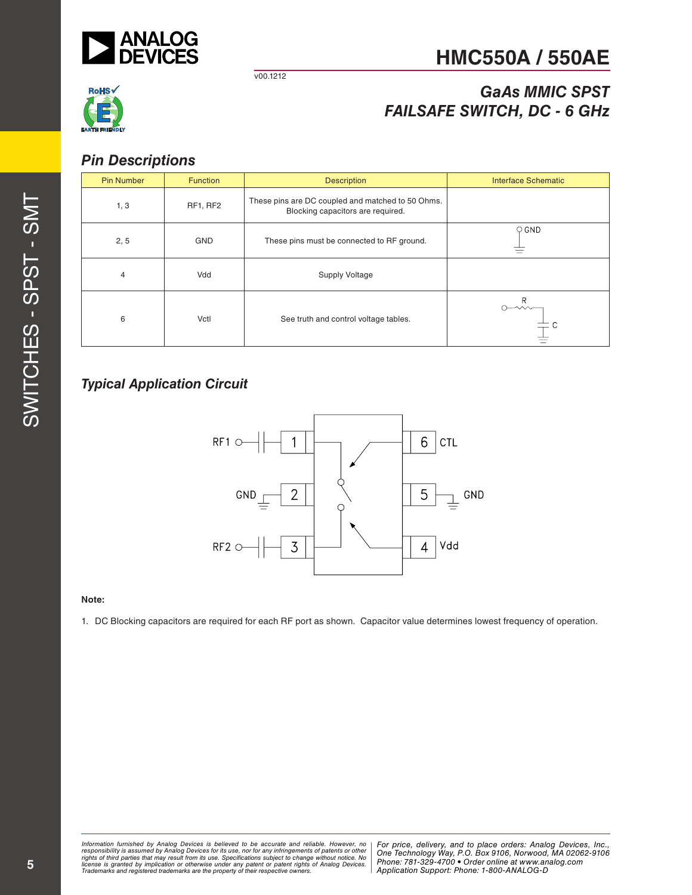

v00.1212

# **HMC550A / 550AE**

# **RoHS**

# *GaAs MMIC SPST FAILSAFE SWITCH, DC - 6 GHz*

#### *Pin Descriptions*

| <b>Pin Number</b> | <b>Function</b> | <b>Description</b>                                                                     | <b>Interface Schematic</b> |
|-------------------|-----------------|----------------------------------------------------------------------------------------|----------------------------|
| 1, 3              | RF1, RF2        | These pins are DC coupled and matched to 50 Ohms.<br>Blocking capacitors are required. |                            |
| 2, 5              | <b>GND</b>      | These pins must be connected to RF ground.                                             | $\circ$ GND                |
| 4                 | Vdd             | <b>Supply Voltage</b>                                                                  |                            |
| 6                 | Vctl            | See truth and control voltage tables.                                                  | R<br>$\leadsto$            |

#### *Typical Application Circuit*



#### **Note:**

1. DC Blocking capacitors are required for each RF port as shown. Capacitor value determines lowest frequency of operation.